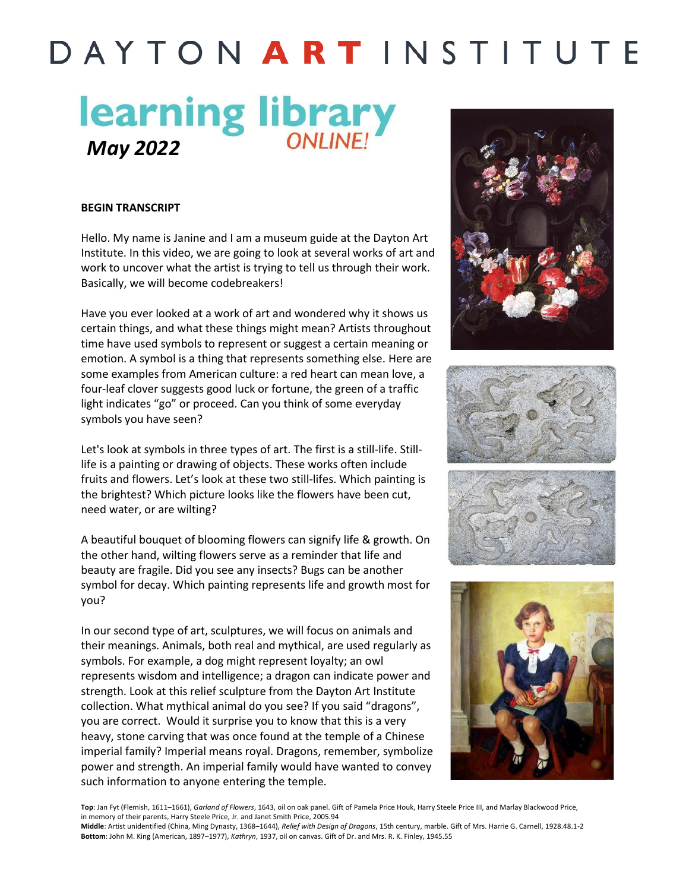## DAYTON ARTINSTITUTE

# *May 2022 May 2022*

#### **BEGIN TRANSCRIPT**

Hello. My name is Janine and I am a museum guide at the Dayton Art Institute. In this video, we are going to look at several works of art and work to uncover what the artist is trying to tell us through their work. Basically, we will become codebreakers!

Have you ever looked at a work of art and wondered why it shows us certain things, and what these things might mean? Artists throughout time have used symbols to represent or suggest a certain meaning or emotion. A symbol is a thing that represents something else. Here are some examples from American culture: a red heart can mean love, a four-leaf clover suggests good luck or fortune, the green of a traffic light indicates "go" or proceed. Can you think of some everyday symbols you have seen?

Let's look at symbols in three types of art. The first is a still-life. Stilllife is a painting or drawing of objects. These works often include fruits and flowers. Let's look at these two still-lifes. Which painting is the brightest? Which picture looks like the flowers have been cut, need water, or are wilting?

A beautiful bouquet of blooming flowers can signify life & growth. On the other hand, wilting flowers serve as a reminder that life and beauty are fragile. Did you see any insects? Bugs can be another symbol for decay. Which painting represents life and growth most for you?

In our second type of art, sculptures, we will focus on animals and their meanings. Animals, both real and mythical, are used regularly as symbols. For example, a dog might represent loyalty; an owl represents wisdom and intelligence; a dragon can indicate power and strength. Look at this relief sculpture from the Dayton Art Institute collection. What mythical animal do you see? If you said "dragons", you are correct. Would it surprise you to know that this is a very heavy, stone carving that was once found at the temple of a Chinese imperial family? Imperial means royal. Dragons, remember, symbolize power and strength. An imperial family would have wanted to convey such information to anyone entering the temple.









**Top**: Jan Fyt (Flemish, 1611–1661), *Garland of Flowers*, 1643, oil on oak panel. Gift of Pamela Price Houk, Harry Steele Price III, and Marlay Blackwood Price, in memory of their parents, Harry Steele Price, Jr. and Janet Smith Price, 2005.94

**Middle**: Artist unidentified (China, Ming Dynasty, 1368–1644), *Relief with Design of Dragons*, 15th century, marble. Gift of Mrs. Harrie G. Carnell, 1928.48.1-2 **Bottom**: John M. King (American, 1897–1977), *Kathryn*, 1937, oil on canvas. Gift of Dr. and Mrs. R. K. Finley, 1945.55